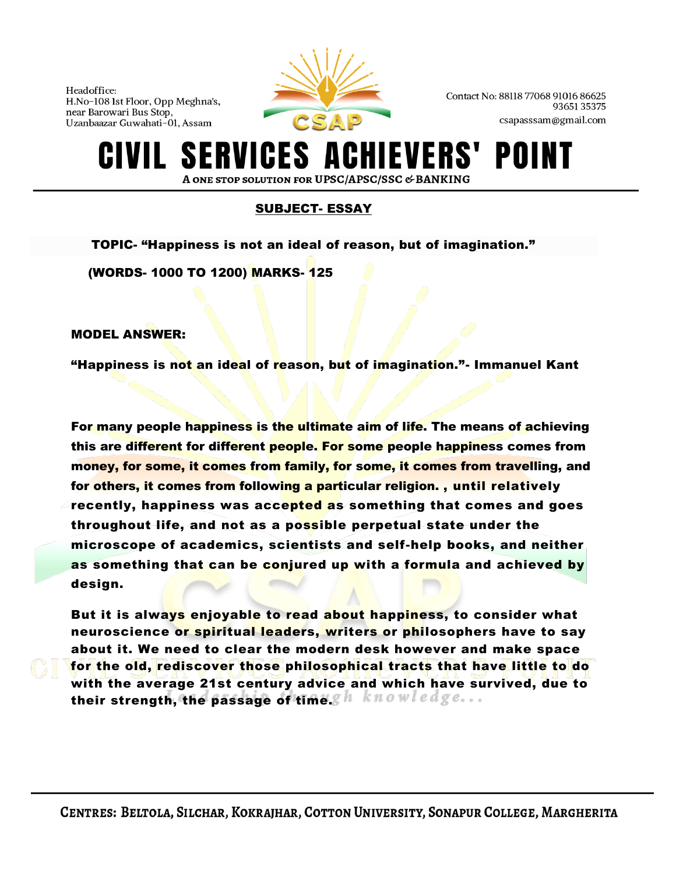

Contact No: 88118 77068 91016 86625 9365135375 csapasssam@gmail.com

### ERVICES A EVERS' POI A ONE STOP SOLUTION FOR UPSC/APSC/SSC & BANKING

# SUBJECT- ESSAY

TOPIC- "Happiness is not an ideal of reason, but of imagination."

(WORDS- 1000 TO 1200) MARKS- 125

MODEL ANSWER:

"Happiness is not an ideal of reason, but of imagination."- Immanuel Kant

For many people [happiness](https://newsaurchai.com/are-you-really-happy/) is the ultimate aim of life. The means of achieving this are different for different people. For some people happiness comes from money, for some, it comes from family, for some, it comes from travelling, and for others, it comes from following a particular religion. , until relatively recently, happiness was accepted as something that comes and goes throughout life, and not as a possible perpetual state under the microscope of academics, scientists and self-help books, and neither as something that can be conjured up with a formula and achieved by design.

But it is always enjoyable to read about happiness, to consider what neuroscience or spiritual leaders, writers or philosophers have to say about it. We need to clear the modern desk however and make space for the old, rediscover those philosophical tracts that have little to do with the average 21st century advice and which have survived, due to their strength, the passage of time.  $g h$  knowledge...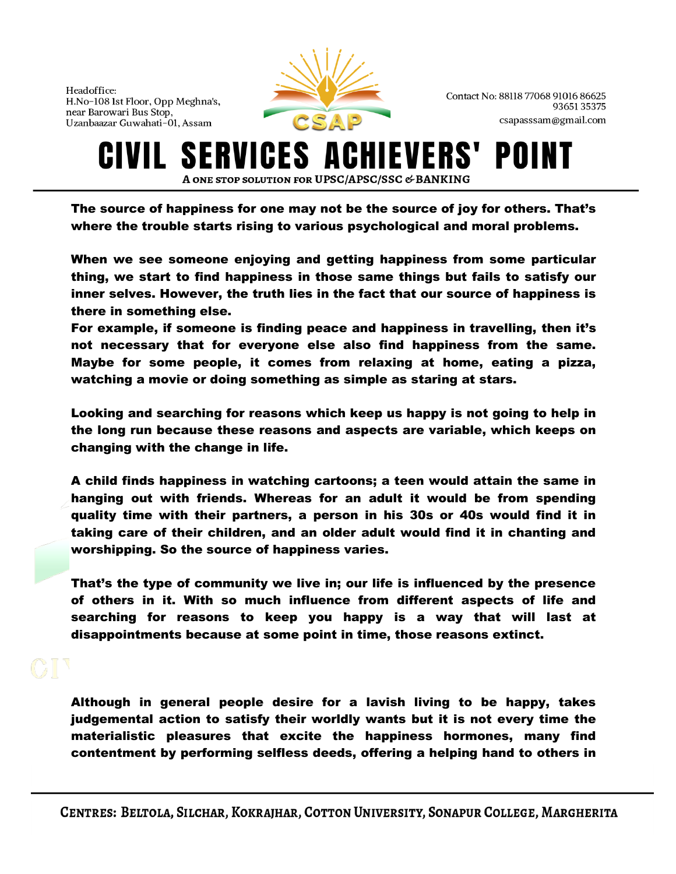

Contact No: 88118 77068 91016 86625 9365135375 csapasssam@gmail.com

#### **SERVICES A IEVERS'** POII IVIL. A ONE STOP SOLUTION FOR UPSC/APSC/SSC & BANKING

The source of happiness for one may not be the source of joy for others. That's where the trouble starts rising to various psychological and moral problems.

When we see someone enjoying and getting happiness from some particular thing, we start to find happiness in those same things but fails to satisfy our inner selves. However, the truth lies in the fact that our source of happiness is there in something else.

For example, if someone is finding peace and happiness in travelling, then it's not necessary that for everyone else also find happiness from the same. Maybe for some people, it comes from relaxing at home, eating a pizza, watching a movie or doing something as simple as staring at stars.

Looking and searching for reasons which keep us happy is not going to help in the long run because these reasons and aspects are variable, which keeps on changing with the change in life.

A child finds happiness in watching cartoons; a teen would attain the same in hanging out with friends. Whereas for an adult it would be from spending quality time with their partners, a person in his 30s or 40s would find it in taking care of their children, and an older adult would find it in chanting and worshipping. So the source of happiness varies.

That's the type of community we live in; our life is influenced by the presence of others in it. With so much influence from different aspects of life and searching for reasons to keep you happy is a way that will last at disappointments because at some point in time, those reasons extinct.

Although in general people desire for a lavish living to be happy, takes judgemental action to satisfy their worldly wants but it is not every time the materialistic pleasures that excite the happiness hormones, many find contentment by performing selfless deeds, offering a helping hand to others in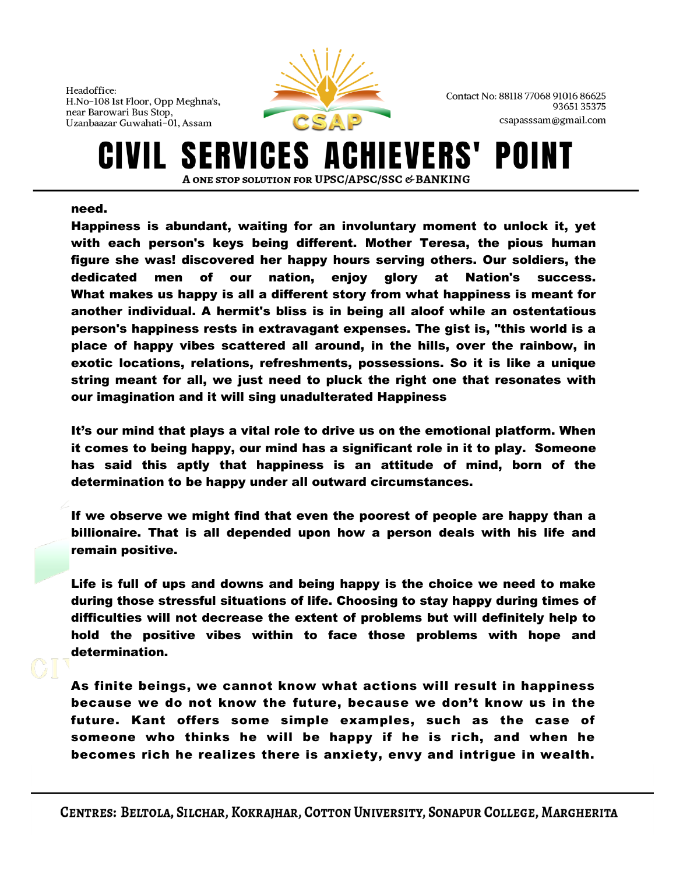

Contact No: 88118 77068 91016 86625 9365135375 csapasssam@gmail.com

### ERVICES A EVERS' POII A ONE STOP SOLUTION FOR UPSC/APSC/SSC & BANKING

## need.

Happiness is abundant, waiting for an involuntary moment to unlock it, yet with each person's keys being different. Mother Teresa, the pious human figure she was! discovered her happy hours serving others. Our soldiers, the dedicated men of our nation, enjoy glory at Nation's success. What makes us happy is all a different story from what happiness is meant for another individual. A hermit's bliss is in being all aloof while an ostentatious person's happiness rests in extravagant expenses. The gist is, "this world is a place of happy vibes scattered all around, in the hills, over the rainbow, in exotic locations, relations, refreshments, possessions. So it is like a unique string meant for all, we just need to pluck the right one that resonates with our imagination and it will sing unadulterated Happiness

It's our mind that plays a vital role to drive us on the emotional platform. When it comes to being happy, our mind has a significant role in it to play. Someone has said this aptly that happiness is an attitude of mind, born of the determination to be happy under all outward circumstances.

If we observe we might find that even the poorest of people are happy than a billionaire. That is all depended upon how a person deals with his life and remain positive.

Life is full of ups and downs and being happy is the choice we need to make during those stressful situations of life. Choosing to stay happy during times of difficulties will not decrease the extent of problems but will definitely help to hold the positive vibes within to face those problems with hope and determination.

As finite beings, we cannot know what actions will result in happiness because we do not know the future, because we don't know us in the future. Kant offers some simple examples, such as the case of someone who thinks he will be happy if he is rich, and when he becomes rich he realizes there is anxiety, envy and intrigue in wealth.